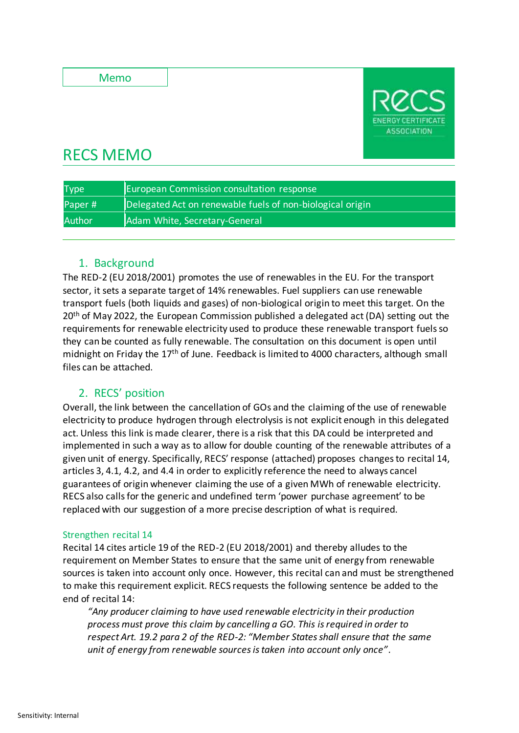Memo



# RECS MEMO

| <b>Type</b>   | <b>European Commission consultation response</b>          |
|---------------|-----------------------------------------------------------|
| Paper#        | Delegated Act on renewable fuels of non-biological origin |
| <b>Author</b> | Adam White, Secretary-General                             |

# 1. Background

The RED-2 (EU 2018/2001) promotes the use of renewables in the EU. For the transport sector, it sets a separate target of 14% renewables. Fuel suppliers can use renewable transport fuels (both liquids and gases) of non-biological origin to meet this target. On the  $20<sup>th</sup>$  of May 2022, the European Commission published a delegated act (DA) setting out the requirements for renewable electricity used to produce these renewable transport fuels so they can be counted as fully renewable. The consultation on this document is open until midnight on Friday the  $17<sup>th</sup>$  of June. Feedback is limited to 4000 characters, although small files can be attached.

# 2. RECS' position

Overall, the link between the cancellation of GOs and the claiming of the use of renewable electricity to produce hydrogen through electrolysis is not explicit enough in this delegated act. Unless this link is made clearer, there is a risk that this DA could be interpreted and implemented in such a way as to allow for double counting of the renewable attributes of a given unit of energy. Specifically, RECS' response (attached) proposes changes to recital 14, articles 3, 4.1, 4.2, and 4.4 in order to explicitly reference the need to always cancel guarantees of origin whenever claiming the use of a given MWh of renewable electricity. RECS also calls for the generic and undefined term 'power purchase agreement' to be replaced with our suggestion of a more precise description of what is required.

## Strengthen recital 14

Recital 14 cites article 19 of the RED-2 (EU 2018/2001) and thereby alludes to the requirement on Member States to ensure that the same unit of energy from renewable sources is taken into account only once. However, this recital can and must be strengthened to make this requirement explicit. RECS requests the following sentence be added to the end of recital 14:

*"Any producer claiming to have used renewable electricity in their production process must prove this claim by cancelling a GO. This is required in order to respect Art. 19.2 para 2 of the RED-2: "Member States shall ensure that the same unit of energy from renewable sources is taken into account only once".*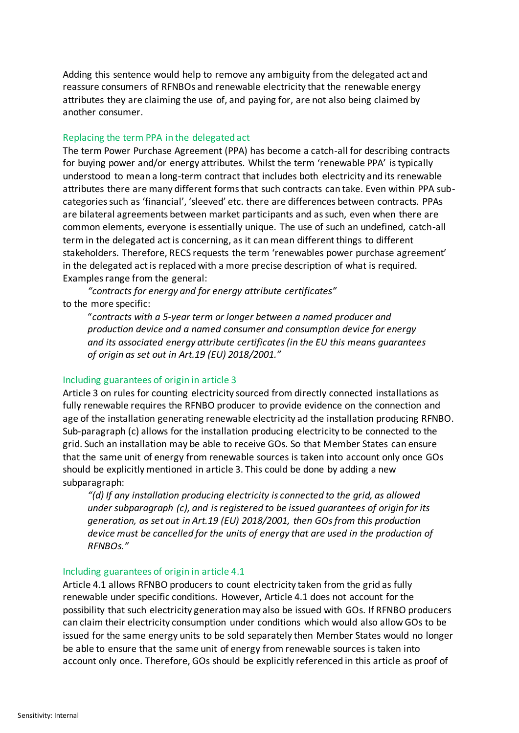Adding this sentence would help to remove any ambiguity from the delegated act and reassure consumers of RFNBOs and renewable electricity that the renewable energy attributes they are claiming the use of, and paying for, are not also being claimed by another consumer.

## Replacing the term PPA in the delegated act

The term Power Purchase Agreement (PPA) has become a catch-all for describing contracts for buying power and/or energy attributes. Whilst the term 'renewable PPA' is typically understood to mean a long-term contract that includes both electricity and its renewable attributes there are many different forms that such contracts can take. Even within PPA subcategories such as 'financial', 'sleeved' etc. there are differences between contracts. PPAs are bilateral agreements between market participants and as such, even when there are common elements, everyone is essentially unique. The use of such an undefined, catch-all term in the delegated act is concerning, as it can mean different things to different stakeholders. Therefore, RECS requests the term 'renewables power purchase agreement' in the delegated act is replaced with a more precise description of what is required. Examples range from the general:

*"contracts for energy and for energy attribute certificates"* to the more specific:

"*contracts with a 5-year term or longer between a named producer and production device and a named consumer and consumption device for energy and its associated energy attribute certificates (in the EU this means guarantees of origin as set out in Art.19 (EU) 2018/2001."*

#### Including guarantees of origin in article 3

Article 3 on rules for counting electricity sourced from directly connected installations as fully renewable requires the RFNBO producer to provide evidence on the connection and age of the installation generating renewable electricity ad the installation producing RFNBO. Sub-paragraph (c) allows for the installation producing electricity to be connected to the grid. Such an installation may be able to receive GOs. So that Member States can ensure that the same unit of energy from renewable sources is taken into account only once GOs should be explicitly mentioned in article 3. This could be done by adding a new subparagraph:

*"(d) If any installation producing electricity is connected to the grid, as allowed under subparagraph (c), and is registered to be issued guarantees of origin for its generation, as set out in Art.19 (EU) 2018/2001, then GOs from this production device must be cancelled for the units of energy that are used in the production of RFNBOs."*

#### Including guarantees of origin in article 4.1

Article 4.1 allows RFNBO producers to count electricity taken from the grid as fully renewable under specific conditions. However, Article 4.1 does not account for the possibility that such electricity generation may also be issued with GOs. If RFNBO producers can claim their electricity consumption under conditions which would also allow GOs to be issued for the same energy units to be sold separately then Member States would no longer be able to ensure that the same unit of energy from renewable sources is taken into account only once. Therefore, GOs should be explicitly referenced in this article as proof of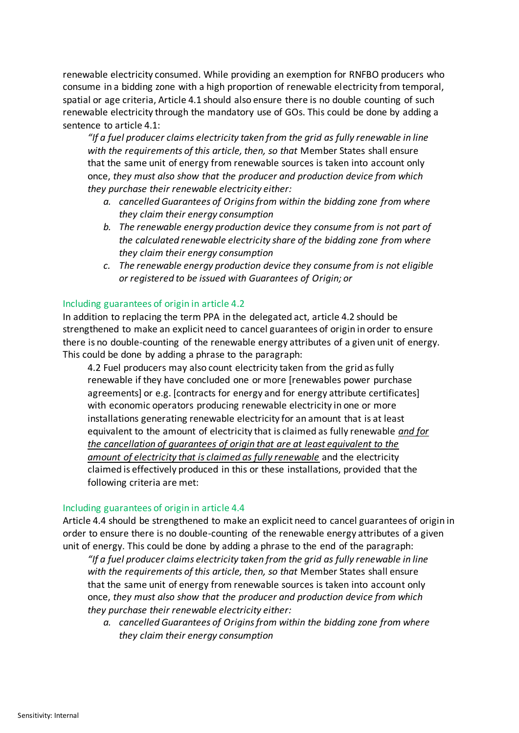renewable electricity consumed. While providing an exemption for RNFBO producers who consume in a bidding zone with a high proportion of renewable electricity from temporal, spatial or age criteria, Article 4.1 should also ensure there is no double counting of such renewable electricity through the mandatory use of GOs. This could be done by adding a sentence to article 4.1:

*"If a fuel producer claims electricity taken from the grid as fully renewable in line with the requirements of this article, then, so that* Member States shall ensure that the same unit of energy from renewable sources is taken into account only once, *they must also show that the producer and production device from which they purchase their renewable electricity either:* 

- *a. cancelled Guarantees of Origins from within the bidding zone from where they claim their energy consumption*
- *b. The renewable energy production device they consume from is not part of the calculated renewable electricity share of the bidding zone from where they claim their energy consumption*
- *c. The renewable energy production device they consume from is not eligible or registered to be issued with Guarantees of Origin; or*

## Including guarantees of origin in article 4.2

In addition to replacing the term PPA in the delegated act, article 4.2 should be strengthened to make an explicit need to cancel guarantees of origin in order to ensure there is no double-counting of the renewable energy attributes of a given unit of energy. This could be done by adding a phrase to the paragraph:

4.2 Fuel producers may also count electricity taken from the grid as fully renewable if they have concluded one or more [renewables power purchase agreements] or e.g. [contracts for energy and for energy attribute certificates] with economic operators producing renewable electricity in one or more installations generating renewable electricity for an amount that is at least equivalent to the amount of electricity that is claimed as fully renewable *and for the cancellation of guarantees of origin that are at least equivalent to the amount of electricity that is claimed as fully renewable* and the electricity claimed is effectively produced in this or these installations, provided that the following criteria are met:

### Including guarantees of origin in article 4.4

Article 4.4 should be strengthened to make an explicit need to cancel guarantees of origin in order to ensure there is no double-counting of the renewable energy attributes of a given unit of energy. This could be done by adding a phrase to the end of the paragraph:

*"If a fuel producer claims electricity taken from the grid as fully renewable in line with the requirements of this article, then, so that* Member States shall ensure that the same unit of energy from renewable sources is taken into account only once, *they must also show that the producer and production device from which they purchase their renewable electricity either:* 

*a. cancelled Guarantees of Origins from within the bidding zone from where they claim their energy consumption*